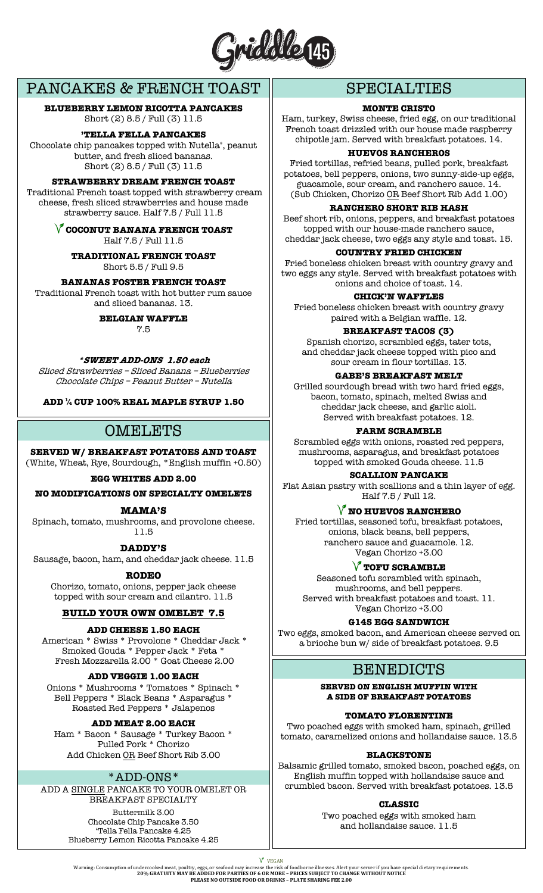

# PANCAKES & FRENCH TOAST

**BLUEBERRY LEMON RICOTTA PANCAKES**  Short (2) 8.5 / Full (3) 11.5

**'TELLA FELLA PANCAKES**

Chocolate chip pancakes topped with Nutella**®**, peanut butter, and fresh sliced bananas. Short (2) 8.5 / Full (3) 11.5

## **STRAWBERRY DREAM FRENCH TOAST**

Traditional French toast topped with strawberry cream cheese, fresh sliced strawberries and house made strawberry sauce. Half 7.5 / Full 11.5

> **COCONUT BANANA FRENCH TOAST** Half 7.5 / Full 11.5

**TRADITIONAL FRENCH TOAST** Short 5.5 / Full 9.5

# **BANANAS FOSTER FRENCH TOAST**

Traditional French toast with hot butter rum sauce and sliced bananas. 13.

# **BELGIAN WAFFLE**

7.5

### **\*SWEET ADD-ONS 1.50 each**

Sliced Strawberries – Sliced Banana – Blueberries Chocolate Chips – Peanut Butter – Nutella

**ADD ¼ CUP 100% REAL MAPLE SYRUP 1.50**

# OMELETS

**SERVED W/ BREAKFAST POTATOES AND TOAST**

(White, Wheat, Rye, Sourdough, \*English muffin +0.50)

# **EGG WHITES ADD 2.00**

**NO MODIFICATIONS ON SPECIALTY OMELETS**

### **MAMA'S**

Spinach, tomato, mushrooms, and provolone cheese. 11.5

**DADDY'S**

Sausage, bacon, ham, and cheddar jack cheese. 11.5

**RODEO**

Chorizo, tomato, onions, pepper jack cheese topped with sour cream and cilantro. 11.5

# **BUILD YOUR OWN OMELET 7.5**

### **ADD CHEESE 1.50 EACH**

American \* Swiss \* Provolone \* Cheddar Jack \* Smoked Gouda \* Pepper Jack \* Feta \* Fresh Mozzarella 2.00 \* Goat Cheese 2.00

### **ADD VEGGIE 1.00 EACH**

Onions \* Mushrooms \* Tomatoes \* Spinach \* Bell Peppers \* Black Beans \* Asparagus \* Roasted Red Peppers \* Jalapenos

### **ADD MEAT 2.00 EACH**

Ham \* Bacon \* Sausage \* Turkey Bacon \* Pulled Pork \* Chorizo Add Chicken OR Beef Short Rib 3.00

# \*ADD-ONS\*

ADD A SINGLE PANCAKE TO YOUR OMELET OR BREAKFAST SPECIALTY

> Buttermilk 3.00 Chocolate Chip Pancake 3.50 'Tella Fella Pancake 4.25 Blueberry Lemon Ricotta Pancake 4.25

# SPECIALTIES

### **MONTE CRISTO**

Ham, turkey, Swiss cheese, fried egg, on our traditional French toast drizzled with our house made raspberry chipotle jam. Served with breakfast potatoes. 14.

**HUEVOS RANCHEROS** 

Fried tortillas, refried beans, pulled pork, breakfast potatoes, bell peppers, onions, two sunny-side-up eggs, guacamole, sour cream, and ranchero sauce. 14. (Sub Chicken, Chorizo OR Beef Short Rib Add 1.00)

## **RANCHERO SHORT RIB HASH**

Beef short rib, onions, peppers, and breakfast potatoes topped with our house-made ranchero sauce, cheddar jack cheese, two eggs any style and toast. 15.

## **COUNTRY FRIED CHICKEN**

Fried boneless chicken breast with country gravy and two eggs any style. Served with breakfast potatoes with onions and choice of toast. 14.

### **CHICK'N WAFFLES**

Fried boneless chicken breast with country gravy paired with a Belgian waffle. 12.

## **BREAKFAST TACOS (3)**

Spanish chorizo, scrambled eggs, tater tots, and cheddar jack cheese topped with pico and sour cream in flour tortillas. 13.

# **GABE'S BREAKFAST MELT**

Grilled sourdough bread with two hard fried eggs, bacon, tomato, spinach, melted Swiss and cheddar jack cheese, and garlic aioli. Served with breakfast potatoes. 12.

#### **FARM SCRAMBLE**

Scrambled eggs with onions, roasted red peppers, mushrooms, asparagus, and breakfast potatoes topped with smoked Gouda cheese. 11.5

## **SCALLION PANCAKE**

Flat Asian pastry with scallions and a thin layer of egg. Half 7.5 / Full 12.

# **NO HUEVOS RANCHERO**

Fried tortillas, seasoned tofu, breakfast potatoes, onions, black beans, bell peppers, ranchero sauce and guacamole. 12. Vegan Chorizo +3.00

# **TOFU SCRAMBLE**

Seasoned tofu scrambled with spinach, mushrooms, and bell peppers. Served with breakfast potatoes and toast. 11. Vegan Chorizo +3.00

**G145 EGG SANDWICH**

Two eggs, smoked bacon, and American cheese served on a brioche bun w/ side of breakfast potatoes. 9.5

# **BENEDICTS**

**SERVED ON ENGLISH MUFFIN WITH A SIDE OF BREAKFAST POTATOES**

**TOMATO FLORENTINE**

Two poached eggs with smoked ham, spinach, grilled tomato, caramelized onions and hollandaise sauce. 13.5

**BLACKSTONE**

Balsamic grilled tomato, smoked bacon, poached eggs, on English muffin topped with hollandaise sauce and crumbled bacon. Served with breakfast potatoes. 13.5

**CLASSIC**

Two poached eggs with smoked ham and hollandaise sauce. 11.5

V VEGAN

V VEGAN VEGAN<br>Warning: Consumption of undercooked meat, poultry, eggs, or seafood may increase the risk of foodborne illnesses. Alert your server if you have special dietary requirements.<br>20% GRATUITY MAY BE ADDED FOR PAR